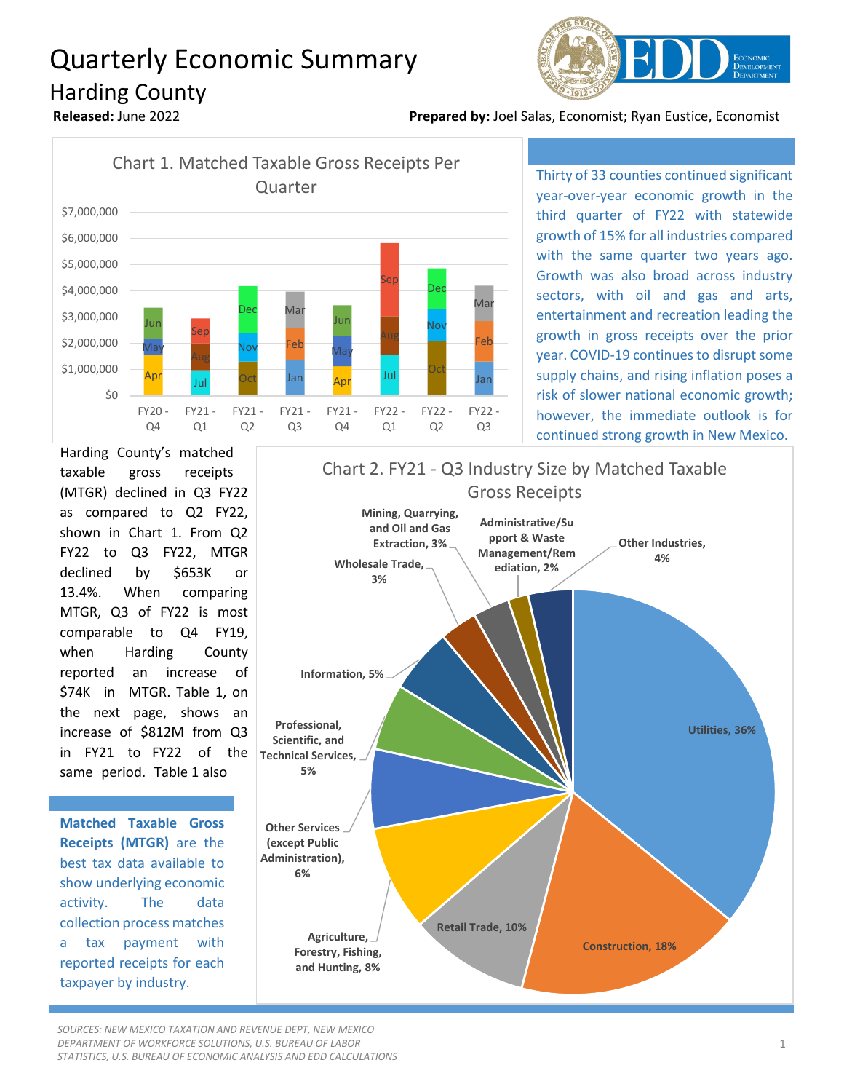## Quarterly Economic Summary Harding County



**Released:** June 2022 **Prepared by:** Joel Salas, Economist; Ryan Eustice, Economist



Thirty of 33 counties continued significant year-over-year economic growth in the third quarter of FY22 with statewide growth of 15% for all industries compared with the same quarter two years ago. Growth was also broad across industry sectors, with oil and gas and arts, entertainment and recreation leading the growth in gross receipts over the prior year. COVID-19 continues to disrupt some supply chains, and rising inflation poses a risk of slower national economic growth; however, the immediate outlook is for continued strong growth in New Mexico.

Harding County's matched taxable gross receipts (MTGR) declined in Q3 FY22 as compared to Q2 FY22, shown in Chart 1. From Q2 FY22 to Q3 FY22, MTGR declined by \$653K or 13.4%. When comparing MTGR, Q3 of FY22 is most comparable to Q4 FY19, when Harding County reported an increase of \$74K in MTGR. Table 1, on the next page, shows an increase of \$812M from Q3 in FY21 to FY22 of the same period. Table 1 also

**Matched Taxable Gross Receipts (MTGR)** are the best tax data available to show underlying economic activity. The data collection process matches a tax payment with reported receipts for each taxpayer by industry.



*SOURCES: NEW MEXICO TAXATION AND REVENUE DEPT, NEW MEXICO DEPARTMENT OF WORKFORCE SOLUTIONS, U.S. BUREAU OF LABOR STATISTICS, U.S. BUREAU OF ECONOMIC ANALYSIS AND EDD CALCULATIONS*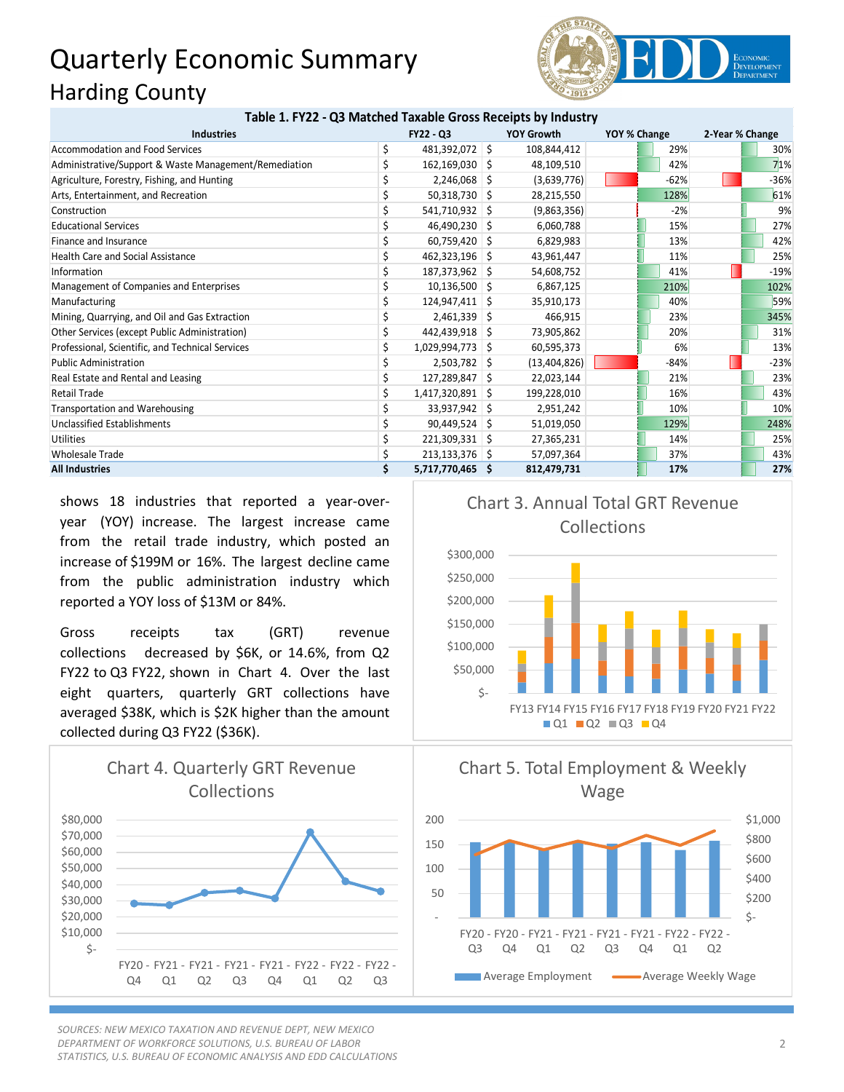## Quarterly Economic Summary Harding County



## **Table 1. FY22 - Q3 Matched Taxable Gross Receipts by Industry**

| <b>Industries</b>                                     | <b>FY22 - Q3</b>     | <b>YOY Growth</b> | YOY % Change | 2-Year % Change |        |
|-------------------------------------------------------|----------------------|-------------------|--------------|-----------------|--------|
| Accommodation and Food Services                       | \$<br>481,392,072 \$ | 108,844,412       | 29%          |                 | 30%    |
| Administrative/Support & Waste Management/Remediation | $162, 169, 030$ \$   | 48,109,510        | 42%          |                 | 71%    |
| Agriculture, Forestry, Fishing, and Hunting           | $2,246,068$ \$       | (3,639,776)       | $-62%$       |                 | $-36%$ |
| Arts, Entertainment, and Recreation                   | $50,318,730$ \$      | 28,215,550        | 128%         |                 | 61%    |
| Construction                                          | 541,710,932 \$       | (9,863,356)       | $-2%$        |                 | 9%     |
| <b>Educational Services</b>                           | 46,490,230 \$        | 6,060,788         | 15%          |                 | 27%    |
| Finance and Insurance                                 | 60,759,420 \$        | 6,829,983         | 13%          |                 | 42%    |
| <b>Health Care and Social Assistance</b>              | 462,323,196 \$       | 43,961,447        | 11%          |                 | 25%    |
| Information                                           | 187,373,962 \$       | 54,608,752        | 41%          |                 | $-19%$ |
| Management of Companies and Enterprises               | $10,136,500$ \$      | 6,867,125         | 210%         |                 | 102%   |
| Manufacturing                                         | 124,947,411 \$       | 35,910,173        | 40%          |                 | 59%    |
| Mining, Quarrying, and Oil and Gas Extraction         | $2,461,339$ \$       | 466,915           | 23%          |                 | 345%   |
| Other Services (except Public Administration)         | 442,439,918 \$       | 73,905,862        | 20%          |                 | 31%    |
| Professional, Scientific, and Technical Services      | 1,029,994,773 \$     | 60,595,373        | 6%           |                 | 13%    |
| <b>Public Administration</b>                          | $2,503,782$ \$       | (13,404,826)      | $-84%$       |                 | $-23%$ |
| Real Estate and Rental and Leasing                    | 127,289,847 \$       | 22,023,144        | 21%          |                 | 23%    |
| <b>Retail Trade</b>                                   | 1,417,320,891 \$     | 199,228,010       | 16%          |                 | 43%    |
| Transportation and Warehousing                        | 33,937,942 \$        | 2,951,242         | 10%          |                 | 10%    |
| Unclassified Establishments                           | $90,449,524$ \$      | 51,019,050        | 129%         |                 | 248%   |
| <b>Utilities</b>                                      | 221,309,331 \$       | 27,365,231        | 14%          |                 | 25%    |
| <b>Wholesale Trade</b>                                | $213,133,376$ \$     | 57,097,364        | 37%          |                 | 43%    |
| <b>All Industries</b>                                 | 5,717,770,465 \$     | 812,479,731       | 17%          |                 | 27%    |

shows 18 industries that reported a year-overyear (YOY) increase. The largest increase came from the retail trade industry, which posted an increase of \$199M or 16%. The largest decline came from the public administration industry which reported a YOY loss of \$13M or 84%.

Gross receipts tax (GRT) revenue collections decreased by \$6K, or 14.6%, from Q2 FY22 to Q3 FY22, shown in Chart 4. Over the last eight quarters, quarterly GRT collections have averaged \$38K, which is \$2K higher than the amount collected during Q3 FY22 (\$36K).



*SOURCES: NEW MEXICO TAXATION AND REVENUE DEPT, NEW MEXICO DEPARTMENT OF WORKFORCE SOLUTIONS, U.S. BUREAU OF LABOR STATISTICS, U.S. BUREAU OF ECONOMIC ANALYSIS AND EDD CALCULATIONS*